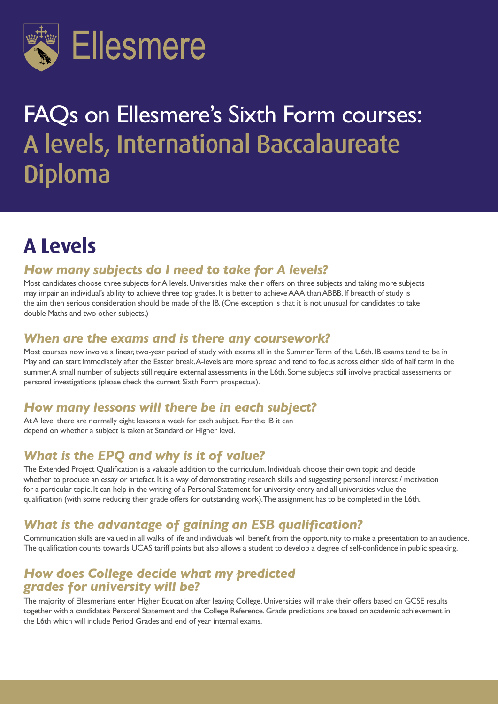

# FAQs on Ellesmere's Sixth Form courses: A levels, International Baccalaureate Diploma

# **A Levels**

#### *How many subjects do I need to take for A levels?*

Most candidates choose three subjects for A levels. Universities make their offers on three subjects and taking more subjects may impair an individual's ability to achieve three top grades. It is better to achieve AAA than ABBB. If breadth of study is the aim then serious consideration should be made of the IB. (One exception is that it is not unusual for candidates to take double Maths and two other subjects.)

#### *When are the exams and is there any coursework?*

Most courses now involve a linear, two-year period of study with exams all in the Summer Term of the U6th. IB exams tend to be in May and can start immediately after the Easter break. A-levels are more spread and tend to focus across either side of half term in the summer. A small number of subjects still require external assessments in the L6th. Some subjects still involve practical assessments or personal investigations (please check the current Sixth Form prospectus).

#### *How many lessons will there be in each subject?*

At A level there are normally eight lessons a week for each subject. For the IB it can depend on whether a subject is taken at Standard or Higher level.

#### *What is the EPQ and why is it of value?*

The Extended Project Qualification is a valuable addition to the curriculum. Individuals choose their own topic and decide whether to produce an essay or artefact. It is a way of demonstrating research skills and suggesting personal interest / motivation for a particular topic. It can help in the writing of a Personal Statement for university entry and all universities value the qualification (with some reducing their grade offers for outstanding work). The assignment has to be completed in the L6th.

#### *What is the advantage of gaining an ESB qualification?*

Communication skills are valued in all walks of life and individuals will benefit from the opportunity to make a presentation to an audience. The qualification counts towards UCAS tariff points but also allows a student to develop a degree of self-confidence in public speaking.

#### *How does College decide what my predicted grades for university will be?*

The majority of Ellesmerians enter Higher Education after leaving College. Universities will make their offers based on GCSE results together with a candidate's Personal Statement and the College Reference. Grade predictions are based on academic achievement in the L6th which will include Period Grades and end of year internal exams.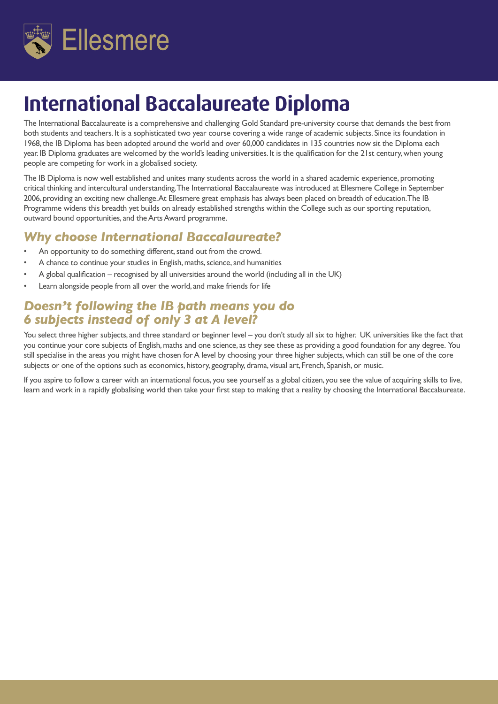

### **International Baccalaureate Diploma**

The International Baccalaureate is a comprehensive and challenging Gold Standard pre-university course that demands the best from both students and teachers. It is a sophisticated two year course covering a wide range of academic subjects. Since its foundation in 1968, the IB Diploma has been adopted around the world and over 60,000 candidates in 135 countries now sit the Diploma each year. IB Diploma graduates are welcomed by the world's leading universities. It is the qualification for the 21st century, when young people are competing for work in a globalised society.

The IB Diploma is now well established and unites many students across the world in a shared academic experience, promoting critical thinking and intercultural understanding. The International Baccalaureate was introduced at Ellesmere College in September 2006, providing an exciting new challenge. At Ellesmere great emphasis has always been placed on breadth of education. The IB Programme widens this breadth yet builds on already established strengths within the College such as our sporting reputation, outward bound opportunities, and the Arts Award programme.

#### *Why choose International Baccalaureate?*

- An opportunity to do something different, stand out from the crowd.
- A chance to continue your studies in English, maths, science, and humanities
- A global qualification recognised by all universities around the world (including all in the UK)
- Learn alongside people from all over the world, and make friends for life

#### *Doesn't following the IB path means you do 6 subjects instead of only 3 at A level?*

You select three higher subjects, and three standard or beginner level – you don't study all six to higher. UK universities like the fact that you continue your core subjects of English, maths and one science, as they see these as providing a good foundation for any degree. You still specialise in the areas you might have chosen for A level by choosing your three higher subjects, which can still be one of the core subjects or one of the options such as economics, history, geography, drama, visual art, French, Spanish, or music.

If you aspire to follow a career with an international focus, you see yourself as a global citizen, you see the value of acquiring skills to live, learn and work in a rapidly globalising world then take your first step to making that a reality by choosing the International Baccalaureate.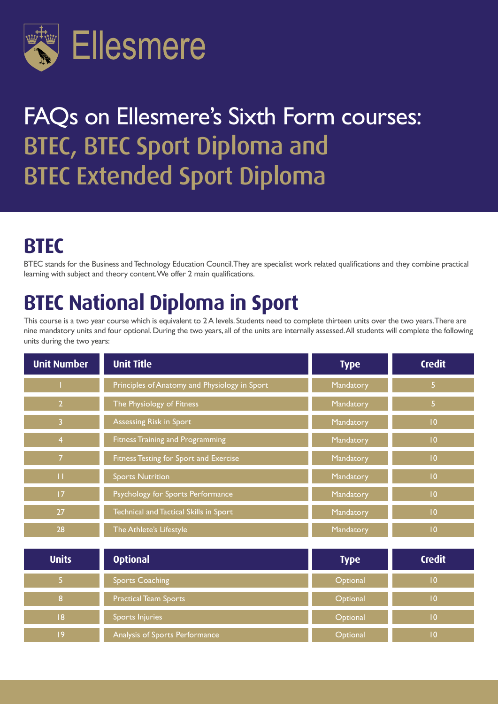

# FAQs on Ellesmere's Sixth Form courses: BTEC, BTEC Sport Diploma and BTEC Extended Sport Diploma

### **BTEC**

BTEC stands for the Business and Technology Education Council. They are specialist work related qualifications and they combine practical learning with subject and theory content. We offer 2 main qualifications.

# **BTEC National Diploma in Sport**

This course is a two year course which is equivalent to 2 A levels. Students need to complete thirteen units over the two years. There are nine mandatory units and four optional. During the two years, all of the units are internally assessed. All students will complete the following units during the two years:

| <b>Unit Number</b> | <b>Unit Title</b>                             | <b>Type</b> | <b>Credit</b>  |
|--------------------|-----------------------------------------------|-------------|----------------|
|                    | Principles of Anatomy and Physiology in Sport | Mandatory   | 5 <sub>1</sub> |
| $\overline{2}$     | The Physiology of Fitness                     | Mandatory   | 5 <sub>1</sub> |
| $\overline{3}$     | Assessing Risk in Sport                       | Mandatory   | 10             |
| $\overline{4}$     | <b>Fitness Training and Programming</b>       | Mandatory   | 0              |
| $\overline{7}$     | Fitness Testing for Sport and Exercise        | Mandatory   | $ 0\rangle$    |
| П                  | <b>Sports Nutrition</b>                       | Mandatory   | 0              |
| 17                 | Psychology for Sports Performance             | Mandatory   | 0              |
| 27                 | Technical and Tactical Skills in Sport        | Mandatory   | 10             |
| 28                 | The Athlete's Lifestyle                       | Mandatory   | 0              |
| <b>Units</b>       | <b>Optional</b>                               | <b>Type</b> | <b>Credit</b>  |
| 5 <sub>1</sub>     | <b>Sports Coaching</b>                        | Optional    | $ 0\rangle$    |
| 8                  | <b>Practical Team Sports</b>                  | Optional    | $ 0\rangle$    |
| 8                  | Sports Injuries                               | Optional    | 0              |
| 9                  | Analysis of Sports Performance                | Optional    | 0              |